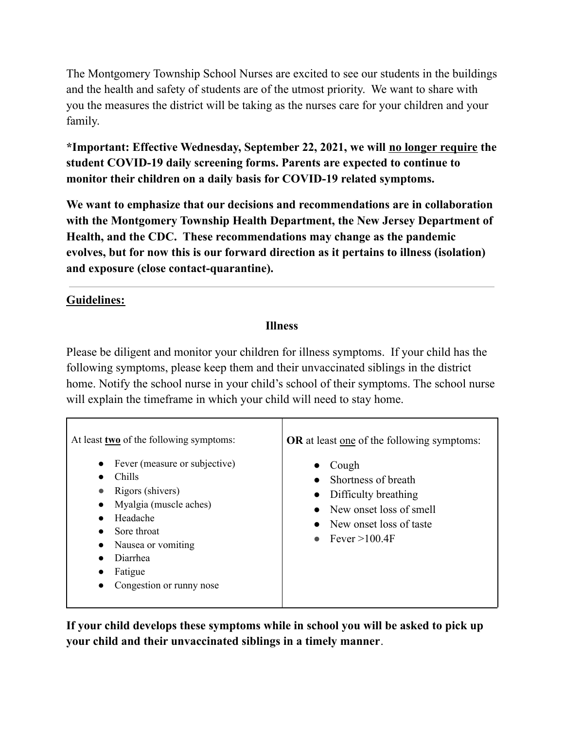The Montgomery Township School Nurses are excited to see our students in the buildings and the health and safety of students are of the utmost priority. We want to share with you the measures the district will be taking as the nurses care for your children and your family.

 **\*Important: Effective Wednesday, September 22, 2021, we will no longer require the student COVID-19 daily screening forms. Parents are expected to continue to monitor their children on a daily basis for COVID-19 related symptoms.**

 **We want to emphasize that our decisions and recommendations are in collaboration with the Montgomery Township Health Department, the New Jersey Department of Health, and the CDC. These recommendations may change as the pandemic evolves, but for now this is our forward direction as it pertains to illness (isolation) and exposure (close contact-quarantine).**

## **Guidelines:**

## **Illness**

 Please be diligent and monitor your children for illness symptoms. If your child has the following symptoms, please keep them and their unvaccinated siblings in the district home. Notify the school nurse in your child's school of their symptoms. The school nurse will explain the timeframe in which your child will need to stay home.

| $\bullet$<br><b>Chills</b><br>Rigors (shivers)<br>$\bullet$<br>Headache<br>Sore throat<br><b>Diarrhea</b><br>Fatigue | At least two of the following symptoms:<br>Fever (measure or subjective)<br>Myalgia (muscle aches)<br>Nausea or vomiting<br>Congestion or runny nose | <b>OR</b> at least <u>one</u> of the following symptoms:<br>Cough<br>Shortness of breath<br>• Difficulty breathing<br>$\bullet$ New onset loss of smell<br>• New onset loss of taste<br>• Fever $>100.4$ F |
|----------------------------------------------------------------------------------------------------------------------|------------------------------------------------------------------------------------------------------------------------------------------------------|------------------------------------------------------------------------------------------------------------------------------------------------------------------------------------------------------------|
|                                                                                                                      |                                                                                                                                                      |                                                                                                                                                                                                            |
|                                                                                                                      |                                                                                                                                                      |                                                                                                                                                                                                            |

 **If your child develops these symptoms while in school you will be asked to pick up your child and their unvaccinated siblings in a timely manner**.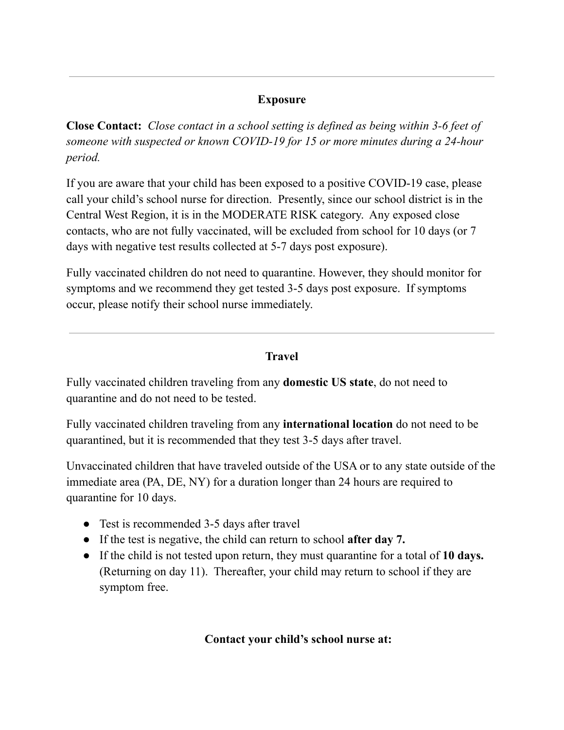## **Exposure**

 **Close Contact:** *Close contact in a school setting is defined as being within 3-6 feet of someone with suspected or known COVID-19 for 15 or more minutes during a 24-hour period.*

 If you are aware that your child has been exposed to a positive COVID-19 case, please call your child's school nurse for direction. Presently, since our school district is in the Central West Region, it is in the MODERATE RISK category. Any exposed close contacts, who are not fully vaccinated, will be excluded from school for 10 days (or 7 days with negative test results collected at 5-7 days post exposure).

 Fully vaccinated children do not need to quarantine. However, they should monitor for symptoms and we recommend they get tested 3-5 days post exposure. If symptoms occur, please notify their school nurse immediately.

## **Travel**

 Fully vaccinated children traveling from any **domestic US state**, do not need to quarantine and do not need to be tested.

 Fully vaccinated children traveling from any **international location** do not need to be quarantined, but it is recommended that they test 3-5 days after travel.

 Unvaccinated children that have traveled outside of the USA or to any state outside of the immediate area (PA, DE, NY) for a duration longer than 24 hours are required to quarantine for 10 days.

- Test is recommended 3-5 days after travel
- If the test is negative, the child can return to school **after day 7.**
- ● If the child is not tested upon return, they must quarantine for a total of **10 days.** (Returning on day 11). Thereafter, your child may return to school if they are symptom free.

 **Contact your child's school nurse at:**